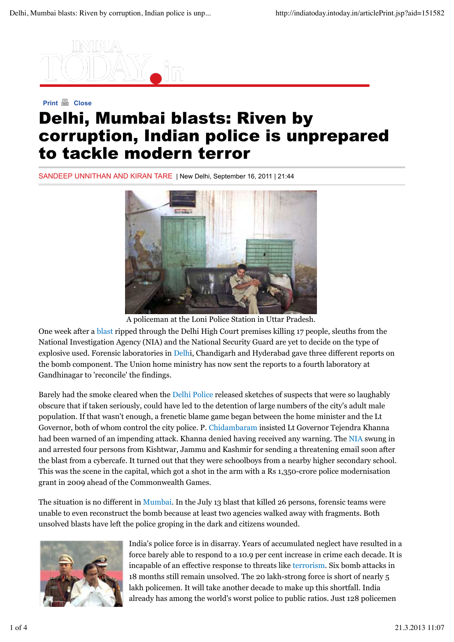

# **Print A** Close Delhi, Mumbai blasts: Riven by corruption, Indian police is unprepared to tackle modern terror

SANDEEP UNNITHAN AND KIRAN TARE | New Delhi, September 16, 2011 | 21:44



A policeman at the Loni Police Station in Uttar Pradesh.

One week after a blast ripped through the Delhi High Court premises killing 17 people, sleuths from the National Investigation Agency (NIA) and the National Security Guard are yet to decide on the type of explosive used. Forensic laboratories in Delhi, Chandigarh and Hyderabad gave three different reports on the bomb component. The Union home ministry has now sent the reports to a fourth laboratory at Gandhinagar to 'reconcile' the findings.

Barely had the smoke cleared when the Delhi Police released sketches of suspects that were so laughably obscure that if taken seriously, could have led to the detention of large numbers of the city's adult male population. If that wasn't enough, a frenetic blame game began between the home minister and the Lt Governor, both of whom control the city police. P. Chidambaram insisted Lt Governor Tejendra Khanna had been warned of an impending attack. Khanna denied having received any warning. The NIA swung in and arrested four persons from Kishtwar, Jammu and Kashmir for sending a threatening email soon after the blast from a cybercafe. It turned out that they were schoolboys from a nearby higher secondary school. This was the scene in the capital, which got a shot in the arm with a Rs 1,350-crore police modernisation grant in 2009 ahead of the Commonwealth Games.

The situation is no different in Mumbai. In the July 13 blast that killed 26 persons, forensic teams were unable to even reconstruct the bomb because at least two agencies walked away with fragments. Both unsolved blasts have left the police groping in the dark and citizens wounded.



India's police force is in disarray. Years of accumulated neglect have resulted in a force barely able to respond to a 10.9 per cent increase in crime each decade. It is incapable of an effective response to threats like terrorism. Six bomb attacks in 18 months still remain unsolved. The 20 lakh-strong force is short of nearly 5 lakh policemen. It will take another decade to make up this shortfall. India already has among the world's worst police to public ratios. Just 128 policemen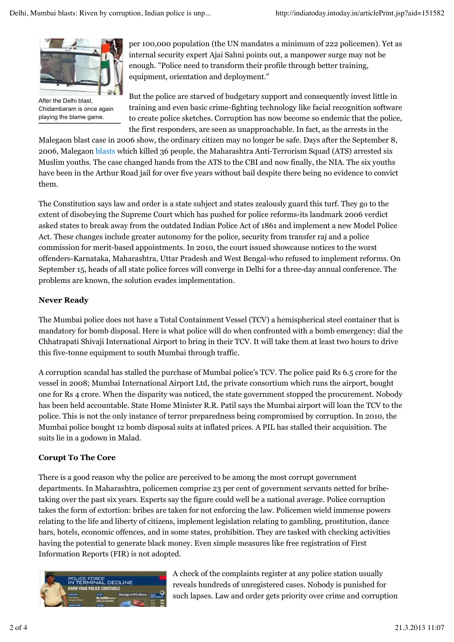

After the Delhi blast, Chidambaram is once again playing the blame game.

per 100,000 population (the UN mandates a minimum of 222 policemen). Yet as internal security expert Ajai Sahni points out, a manpower surge may not be enough. "Police need to transform their profile through better training, equipment, orientation and deployment."

But the police are starved of budgetary support and consequently invest little in training and even basic crime-fighting technology like facial recognition software to create police sketches. Corruption has now become so endemic that the police, the first responders, are seen as unapproachable. In fact, as the arrests in the

Malegaon blast case in 2006 show, the ordinary citizen may no longer be safe. Days after the September 8, 2006, Malegaon blasts which killed 36 people, the Maharashtra Anti-Terrorism Squad (ATS) arrested six Muslim youths. The case changed hands from the ATS to the CBI and now finally, the NIA. The six youths have been in the Arthur Road jail for over five years without bail despite there being no evidence to convict them.

The Constitution says law and order is a state subject and states zealously guard this turf. They go to the extent of disobeying the Supreme Court which has pushed for police reforms-its landmark 2006 verdict asked states to break away from the outdated Indian Police Act of 1861 and implement a new Model Police Act. These changes include greater autonomy for the police, security from transfer raj and a police commission for merit-based appointments. In 2010, the court issued showcause notices to the worst offenders-Karnataka, Maharashtra, Uttar Pradesh and West Bengal-who refused to implement reforms. On September 15, heads of all state police forces will converge in Delhi for a three-day annual conference. The problems are known, the solution evades implementation.

## **Never Ready**

The Mumbai police does not have a Total Containment Vessel (TCV) a hemispherical steel container that is mandatory for bomb disposal. Here is what police will do when confronted with a bomb emergency: dial the Chhatrapati Shivaji International Airport to bring in their TCV. It will take them at least two hours to drive this five-tonne equipment to south Mumbai through traffic.

A corruption scandal has stalled the purchase of Mumbai police's TCV. The police paid Rs 6.5 crore for the vessel in 2008; Mumbai International Airport Ltd, the private consortium which runs the airport, bought one for Rs 4 crore. When the disparity was noticed, the state government stopped the procurement. Nobody has been held accountable. State Home Minister R.R. Patil says the Mumbai airport will loan the TCV to the police. This is not the only instance of terror preparedness being compromised by corruption. In 2010, the Mumbai police bought 12 bomb disposal suits at inflated prices. A PIL has stalled their acquisition. The suits lie in a godown in Malad.

# **Corupt To The Core**

There is a good reason why the police are perceived to be among the most corrupt government departments. In Maharashtra, policemen comprise 23 per cent of government servants netted for bribetaking over the past six years. Experts say the figure could well be a national average. Police corruption takes the form of extortion: bribes are taken for not enforcing the law. Policemen wield immense powers relating to the life and liberty of citizens, implement legislation relating to gambling, prostitution, dance bars, hotels, economic offences, and in some states, prohibition. They are tasked with checking activities having the potential to generate black money. Even simple measures like free registration of First Information Reports (FIR) is not adopted.



A check of the complaints register at any police station usually reveals hundreds of unregistered cases. Nobody is punished for such lapses. Law and order gets priority over crime and corruption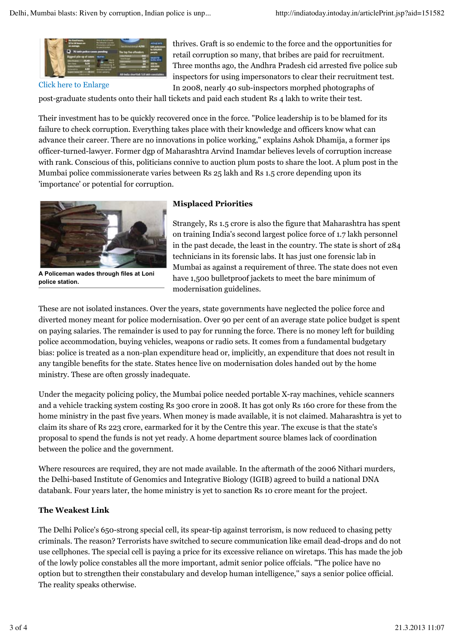

Click here to Enlarge

thrives. Graft is so endemic to the force and the opportunities for retail corruption so many, that bribes are paid for recruitment. Three months ago, the Andhra Pradesh cid arrested five police sub inspectors for using impersonators to clear their recruitment test. In 2008, nearly 40 sub-inspectors morphed photographs of

post-graduate students onto their hall tickets and paid each student Rs 4 lakh to write their test.

Their investment has to be quickly recovered once in the force. "Police leadership is to be blamed for its failure to check corruption. Everything takes place with their knowledge and officers know what can advance their career. There are no innovations in police working," explains Ashok Dhamija, a former ips officer-turned-lawyer. Former dgp of Maharashtra Arvind Inamdar believes levels of corruption increase with rank. Conscious of this, politicians connive to auction plum posts to share the loot. A plum post in the Mumbai police commissionerate varies between Rs 25 lakh and Rs 1.5 crore depending upon its 'importance' or potential for corruption.



**A Policeman wades through files at Loni police station.**

#### **Misplaced Priorities**

Strangely, Rs 1.5 crore is also the figure that Maharashtra has spent on training India's second largest police force of 1.7 lakh personnel in the past decade, the least in the country. The state is short of 284 technicians in its forensic labs. It has just one forensic lab in Mumbai as against a requirement of three. The state does not even have 1,500 bulletproof jackets to meet the bare minimum of modernisation guidelines.

These are not isolated instances. Over the years, state governments have neglected the police force and diverted money meant for police modernisation. Over 90 per cent of an average state police budget is spent on paying salaries. The remainder is used to pay for running the force. There is no money left for building police accommodation, buying vehicles, weapons or radio sets. It comes from a fundamental budgetary bias: police is treated as a non-plan expenditure head or, implicitly, an expenditure that does not result in any tangible benefits for the state. States hence live on modernisation doles handed out by the home ministry. These are often grossly inadequate.

Under the megacity policing policy, the Mumbai police needed portable X-ray machines, vehicle scanners and a vehicle tracking system costing Rs 300 crore in 2008. It has got only Rs 160 crore for these from the home ministry in the past five years. When money is made available, it is not claimed. Maharashtra is yet to claim its share of Rs 223 crore, earmarked for it by the Centre this year. The excuse is that the state's proposal to spend the funds is not yet ready. A home department source blames lack of coordination between the police and the government.

Where resources are required, they are not made available. In the aftermath of the 2006 Nithari murders, the Delhi-based Institute of Genomics and Integrative Biology (IGIB) agreed to build a national DNA databank. Four years later, the home ministry is yet to sanction Rs 10 crore meant for the project.

#### **The Weakest Link**

The Delhi Police's 650-strong special cell, its spear-tip against terrorism, is now reduced to chasing petty criminals. The reason? Terrorists have switched to secure communication like email dead-drops and do not use cellphones. The special cell is paying a price for its excessive reliance on wiretaps. This has made the job of the lowly police constables all the more important, admit senior police offcials. "The police have no option but to strengthen their constabulary and develop human intelligence,'' says a senior police official. The reality speaks otherwise.